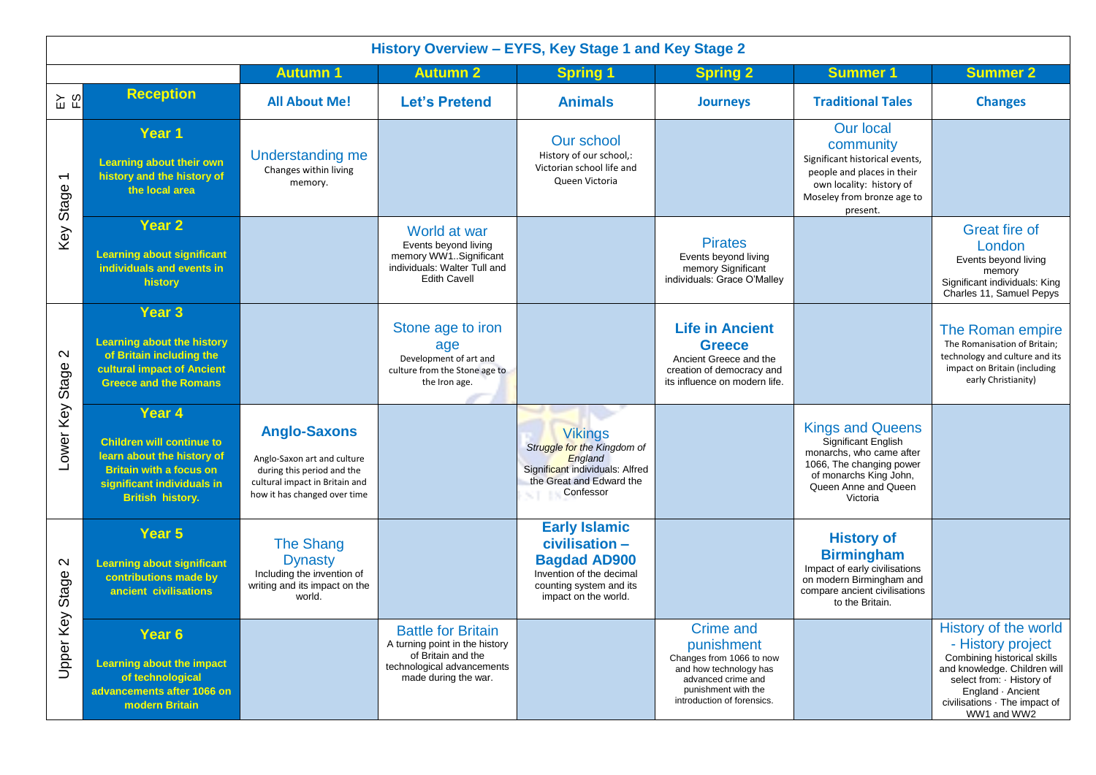|                                   | History Overview - EYFS, Key Stage 1 and Key Stage 2                                                                                                                |                                                                                                                                                    |                                                                                                                                         |                                                                                                                                              |                                                                                                                                                                 |                                                                                                                                                                      |                                                                                                                                                                                                          |
|-----------------------------------|---------------------------------------------------------------------------------------------------------------------------------------------------------------------|----------------------------------------------------------------------------------------------------------------------------------------------------|-----------------------------------------------------------------------------------------------------------------------------------------|----------------------------------------------------------------------------------------------------------------------------------------------|-----------------------------------------------------------------------------------------------------------------------------------------------------------------|----------------------------------------------------------------------------------------------------------------------------------------------------------------------|----------------------------------------------------------------------------------------------------------------------------------------------------------------------------------------------------------|
|                                   |                                                                                                                                                                     | <b>Autumn 1</b>                                                                                                                                    | <b>Autumn 2</b>                                                                                                                         | <b>Spring 1</b>                                                                                                                              | <b>Spring 2</b>                                                                                                                                                 | <b>Summer 1</b>                                                                                                                                                      | <b>Summer 2</b>                                                                                                                                                                                          |
| ≧ ∞<br>⊞ ⊡                        | <b>Reception</b>                                                                                                                                                    | <b>All About Me!</b>                                                                                                                               | <b>Let's Pretend</b>                                                                                                                    | <b>Animals</b>                                                                                                                               | <b>Journeys</b>                                                                                                                                                 | <b>Traditional Tales</b>                                                                                                                                             | <b>Changes</b>                                                                                                                                                                                           |
| $\overline{\phantom{0}}$<br>Stage | Year 1<br><b>Learning about their own</b><br>history and the history of<br>the local area                                                                           | <b>Understanding me</b><br>Changes within living<br>memory.                                                                                        |                                                                                                                                         | <b>Our school</b><br>History of our school,:<br>Victorian school life and<br>Queen Victoria                                                  |                                                                                                                                                                 | <b>Our local</b><br>community<br>Significant historical events,<br>people and places in their<br>own locality: history of<br>Moseley from bronze age to<br>present.  |                                                                                                                                                                                                          |
| Key                               | Year <sub>2</sub><br><b>Learning about significant</b><br>individuals and events in<br>history                                                                      |                                                                                                                                                    | World at war<br>Events beyond living<br>memory WW1Significant<br>individuals: Walter Tull and<br><b>Edith Cavell</b>                    |                                                                                                                                              | <b>Pirates</b><br>Events beyond living<br>memory Significant<br>individuals: Grace O'Malley                                                                     |                                                                                                                                                                      | <b>Great fire of</b><br>London<br>Events beyond living<br>memory<br>Significant individuals: King<br>Charles 11, Samuel Pepys                                                                            |
| $\mathbf{\Omega}$<br>Stage        | Year <sub>3</sub><br><b>Learning about the history</b><br>of Britain including the<br>cultural impact of Ancient<br><b>Greece and the Romans</b>                    |                                                                                                                                                    | Stone age to iron<br>age<br>Development of art and<br>culture from the Stone age to<br>the Iron age.                                    |                                                                                                                                              | <b>Life in Ancient</b><br><b>Greece</b><br>Ancient Greece and the<br>creation of democracy and<br>its influence on modern life.                                 |                                                                                                                                                                      | The Roman empire<br>The Romanisation of Britain;<br>technology and culture and its<br>impact on Britain (including<br>early Christianity)                                                                |
| Lower Key                         | Year 4<br><b>Children will continue to</b><br>learn about the history of<br><b>Britain with a focus on</b><br>significant individuals in<br><b>British history.</b> | <b>Anglo-Saxons</b><br>Anglo-Saxon art and culture<br>during this period and the<br>cultural impact in Britain and<br>how it has changed over time |                                                                                                                                         | <b>Vikings</b><br>Struggle for the Kingdom of<br>England<br>Significant individuals: Alfred<br>the Great and Edward the<br>Confessor         |                                                                                                                                                                 | <b>Kings and Queens</b><br>Significant English<br>monarchs, who came after<br>1066, The changing power<br>of monarchs King John,<br>Queen Anne and Queen<br>Victoria |                                                                                                                                                                                                          |
| $\sim$<br>Stage<br>⋋              | Year <sub>5</sub><br><b>Learning about significant</b><br>contributions made by<br>ancient civilisations                                                            | <b>The Shang</b><br><b>Dynasty</b><br>Including the invention of<br>writing and its impact on the<br>world.                                        |                                                                                                                                         | <b>Early Islamic</b><br>civilisation -<br><b>Bagdad AD900</b><br>Invention of the decimal<br>counting system and its<br>impact on the world. |                                                                                                                                                                 | <b>History of</b><br><b>Birmingham</b><br>Impact of early civilisations<br>on modern Birmingham and<br>compare ancient civilisations<br>to the Britain.              |                                                                                                                                                                                                          |
| Φ<br>Upper K                      | Year <sub>6</sub><br><b>Learning about the impact</b><br>of technological<br>advancements after 1066 on<br>modern Britain                                           |                                                                                                                                                    | <b>Battle for Britain</b><br>A turning point in the history<br>of Britain and the<br>technological advancements<br>made during the war. |                                                                                                                                              | <b>Crime and</b><br>punishment<br>Changes from 1066 to now<br>and how technology has<br>advanced crime and<br>punishment with the<br>introduction of forensics. |                                                                                                                                                                      | History of the world<br>- History project<br>Combining historical skills<br>and knowledge. Children will<br>select from: History of<br>England · Ancient<br>civilisations · The impact of<br>WW1 and WW2 |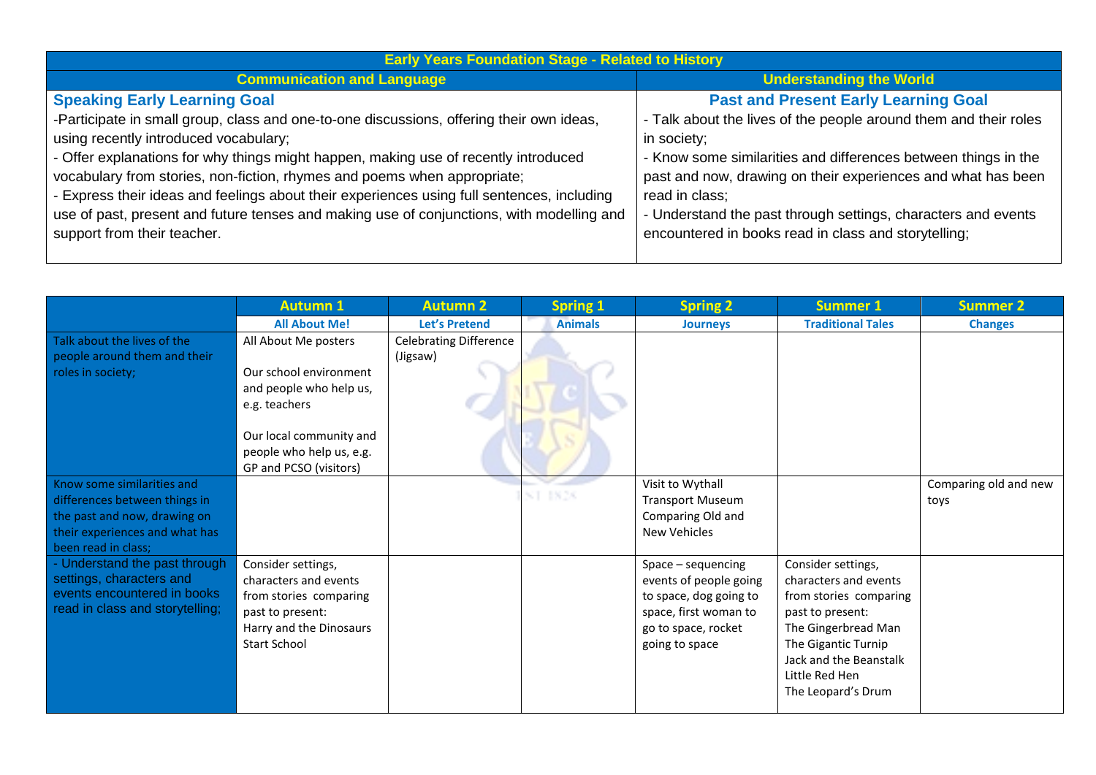| <b>Early Years Foundation Stage - Related to History</b>                                   |                                                                  |  |  |  |
|--------------------------------------------------------------------------------------------|------------------------------------------------------------------|--|--|--|
| <b>Communication and Language</b>                                                          | <b>Understanding the World</b>                                   |  |  |  |
| <b>Speaking Early Learning Goal</b>                                                        | <b>Past and Present Early Learning Goal</b>                      |  |  |  |
| -Participate in small group, class and one-to-one discussions, offering their own ideas,   | - Talk about the lives of the people around them and their roles |  |  |  |
| using recently introduced vocabulary;                                                      | in society;                                                      |  |  |  |
| - Offer explanations for why things might happen, making use of recently introduced        | - Know some similarities and differences between things in the   |  |  |  |
| vocabulary from stories, non-fiction, rhymes and poems when appropriate;                   | past and now, drawing on their experiences and what has been     |  |  |  |
| - Express their ideas and feelings about their experiences using full sentences, including | read in class:                                                   |  |  |  |
| use of past, present and future tenses and making use of conjunctions, with modelling and  | - Understand the past through settings, characters and events    |  |  |  |
| support from their teacher.                                                                | encountered in books read in class and storytelling;             |  |  |  |
|                                                                                            |                                                                  |  |  |  |

|                                                             | <b>Autumn 1</b>                          | <b>Autumn 2</b>                    | <b>Spring 1</b> | <b>Spring 2</b>         | <b>Summer 1</b>          | <b>Summer 2</b>       |
|-------------------------------------------------------------|------------------------------------------|------------------------------------|-----------------|-------------------------|--------------------------|-----------------------|
|                                                             | <b>All About Me!</b>                     | <b>Let's Pretend</b>               | <b>Animals</b>  | <b>Journeys</b>         | <b>Traditional Tales</b> | <b>Changes</b>        |
| Talk about the lives of the<br>people around them and their | All About Me posters                     | Celebrating Difference<br>(Jigsaw) |                 |                         |                          |                       |
| roles in society;                                           | Our school environment                   |                                    |                 |                         |                          |                       |
|                                                             | and people who help us,<br>e.g. teachers |                                    |                 |                         |                          |                       |
|                                                             |                                          |                                    |                 |                         |                          |                       |
|                                                             | Our local community and                  |                                    |                 |                         |                          |                       |
|                                                             | people who help us, e.g.                 |                                    |                 |                         |                          |                       |
|                                                             | GP and PCSO (visitors)                   |                                    |                 |                         |                          |                       |
| Know some similarities and                                  |                                          |                                    |                 | Visit to Wythall        |                          | Comparing old and new |
| differences between things in                               |                                          |                                    | IST 1826        | <b>Transport Museum</b> |                          | toys                  |
| the past and now, drawing on                                |                                          |                                    |                 | Comparing Old and       |                          |                       |
| their experiences and what has                              |                                          |                                    |                 | <b>New Vehicles</b>     |                          |                       |
| been read in class;                                         |                                          |                                    |                 |                         |                          |                       |
| - Understand the past through                               | Consider settings,                       |                                    |                 | Space - sequencing      | Consider settings,       |                       |
| settings, characters and                                    | characters and events                    |                                    |                 | events of people going  | characters and events    |                       |
| events encountered in books                                 | from stories comparing                   |                                    |                 | to space, dog going to  | from stories comparing   |                       |
| read in class and storytelling;                             | past to present:                         |                                    |                 | space, first woman to   | past to present:         |                       |
|                                                             | Harry and the Dinosaurs                  |                                    |                 | go to space, rocket     | The Gingerbread Man      |                       |
|                                                             | <b>Start School</b>                      |                                    |                 | going to space          | The Gigantic Turnip      |                       |
|                                                             |                                          |                                    |                 |                         | Jack and the Beanstalk   |                       |
|                                                             |                                          |                                    |                 |                         | Little Red Hen           |                       |
|                                                             |                                          |                                    |                 |                         | The Leopard's Drum       |                       |
|                                                             |                                          |                                    |                 |                         |                          |                       |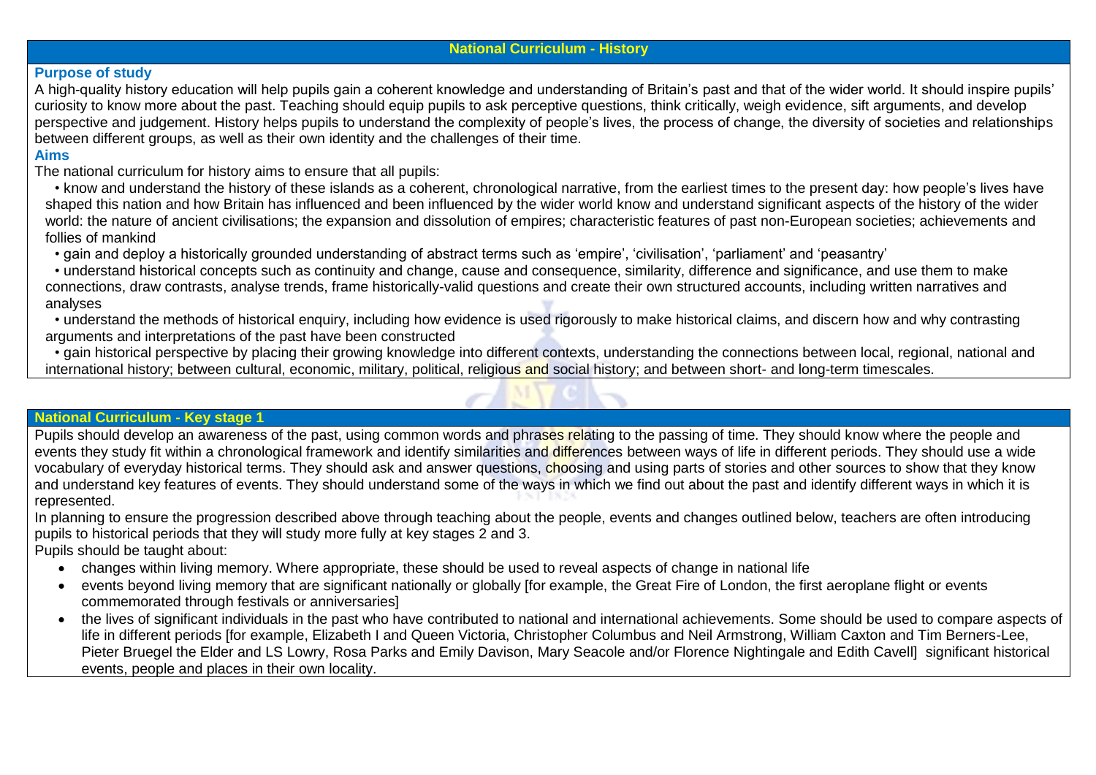## **Purpose of study**

A high-quality history education will help pupils gain a coherent knowledge and understanding of Britain's past and that of the wider world. It should inspire pupils' curiosity to know more about the past. Teaching should equip pupils to ask perceptive questions, think critically, weigh evidence, sift arguments, and develop perspective and judgement. History helps pupils to understand the complexity of people's lives, the process of change, the diversity of societies and relationships between different groups, as well as their own identity and the challenges of their time.

## **Aims**

The national curriculum for history aims to ensure that all pupils:

• know and understand the history of these islands as a coherent, chronological narrative, from the earliest times to the present day: how people's lives have shaped this nation and how Britain has influenced and been influenced by the wider world know and understand significant aspects of the history of the wider world: the nature of ancient civilisations; the expansion and dissolution of empires; characteristic features of past non-European societies; achievements and follies of mankind

• gain and deploy a historically grounded understanding of abstract terms such as 'empire', 'civilisation', 'parliament' and 'peasantry'

• understand historical concepts such as continuity and change, cause and consequence, similarity, difference and significance, and use them to make connections, draw contrasts, analyse trends, frame historically-valid questions and create their own structured accounts, including written narratives and analyses

• understand the methods of historical enquiry, including how evidence is used rigorously to make historical claims, and discern how and why contrasting arguments and interpretations of the past have been constructed

• gain historical perspective by placing their growing knowledge into different contexts, understanding the connections between local, regional, national and international history; between cultural, economic, military, political, religious and social history; and between short- and long-term timescales.

## **National Curriculum - Key stage 1**

Pupils should develop an awareness of the past, using common words and phrases relating to the passing of time. They should know where the people and events they study fit within a chronological framework and identify similarities and differences between ways of life in different periods. They should use a wide vocabulary of everyday historical terms. They should ask and answer questions, choosing and using parts of stories and other sources to show that they know and understand key features of events. They should understand some of the ways in which we find out about the past and identify different ways in which it is represented.

In planning to ensure the progression described above through teaching about the people, events and changes outlined below, teachers are often introducing pupils to historical periods that they will study more fully at key stages 2 and 3.

Pupils should be taught about:

- changes within living memory. Where appropriate, these should be used to reveal aspects of change in national life
- events beyond living memory that are significant nationally or globally [for example, the Great Fire of London, the first aeroplane flight or events commemorated through festivals or anniversaries]
- the lives of significant individuals in the past who have contributed to national and international achievements. Some should be used to compare aspects of life in different periods [for example, Elizabeth I and Queen Victoria, Christopher Columbus and Neil Armstrong, William Caxton and Tim Berners-Lee, Pieter Bruegel the Elder and LS Lowry, Rosa Parks and Emily Davison, Mary Seacole and/or Florence Nightingale and Edith Cavell] significant historical events, people and places in their own locality.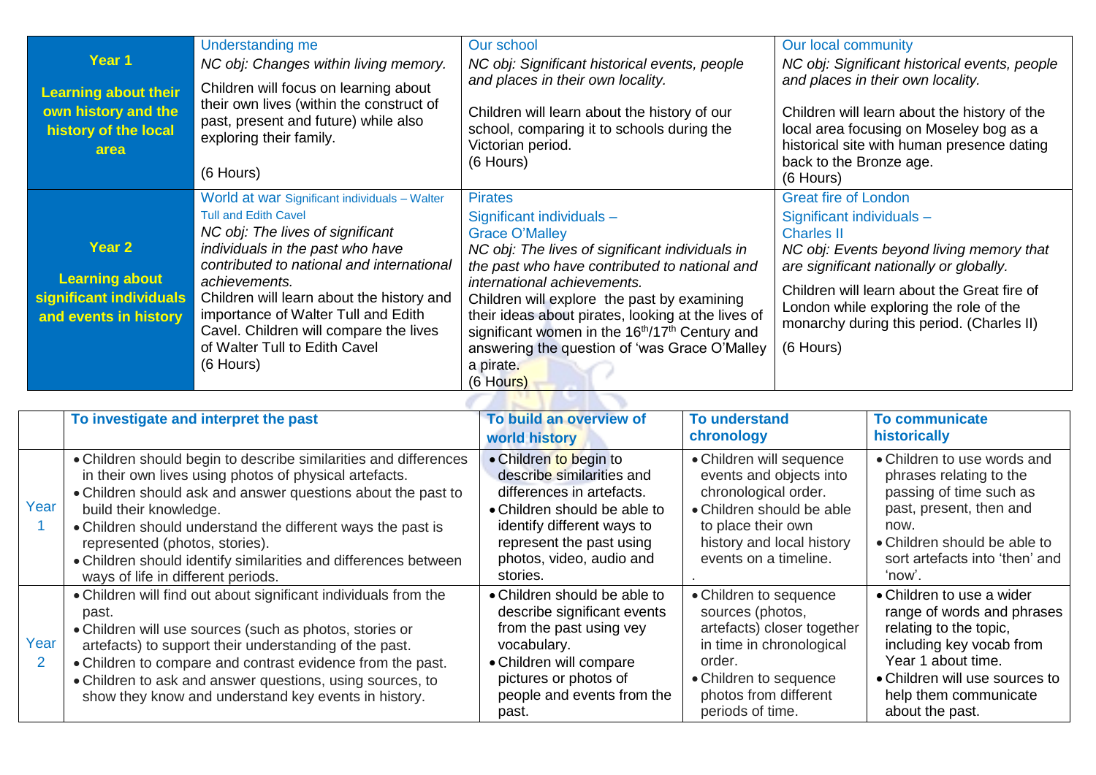|                                             | <b>Understanding me</b>                                                          | <b>Our school</b>                                                                          | Our local community                                                                     |
|---------------------------------------------|----------------------------------------------------------------------------------|--------------------------------------------------------------------------------------------|-----------------------------------------------------------------------------------------|
| Year 1                                      | NC obj: Changes within living memory.                                            | NC obj: Significant historical events, people                                              | NC obj: Significant historical events, people                                           |
| <b>Learning about their</b>                 | Children will focus on learning about                                            | and places in their own locality.                                                          | and places in their own locality.                                                       |
| own history and the<br>history of the local | their own lives (within the construct of<br>past, present and future) while also | Children will learn about the history of our<br>school, comparing it to schools during the | Children will learn about the history of the<br>local area focusing on Moseley bog as a |
| area                                        | exploring their family.                                                          | Victorian period.                                                                          | historical site with human presence dating                                              |
|                                             |                                                                                  | (6 Hours)                                                                                  | back to the Bronze age.                                                                 |
|                                             | (6 Hours)                                                                        |                                                                                            | (6 Hours)                                                                               |
|                                             | World at war Significant individuals - Walter                                    | <b>Pirates</b>                                                                             | <b>Great fire of London</b>                                                             |
|                                             | <b>Tull and Edith Cavel</b>                                                      | Significant individuals -                                                                  | Significant individuals -                                                               |
|                                             | NC obj: The lives of significant                                                 | <b>Grace O'Malley</b>                                                                      | <b>Charles II</b>                                                                       |
| Year 2                                      | individuals in the past who have                                                 | NC obj: The lives of significant individuals in                                            | NC obj: Events beyond living memory that                                                |
|                                             | contributed to national and international                                        | the past who have contributed to national and                                              | are significant nationally or globally.                                                 |
| <b>Learning about</b>                       | achievements.                                                                    | international achievements.                                                                | Children will learn about the Great fire of                                             |
| significant individuals                     | Children will learn about the history and                                        | Children will explore the past by examining                                                | London while exploring the role of the                                                  |
| and events in history                       | importance of Walter Tull and Edith                                              | their ideas about pirates, looking at the lives of                                         | monarchy during this period. (Charles II)                                               |
|                                             | Cavel. Children will compare the lives<br>of Walter Tull to Edith Cavel          | significant women in the 16 <sup>th</sup> /17 <sup>th</sup> Century and                    | (6 Hours)                                                                               |
|                                             | (6 Hours)                                                                        | answering the question of 'was Grace O'Malley                                              |                                                                                         |
|                                             |                                                                                  | a pirate.<br>$(6$ Hours)                                                                   |                                                                                         |

|           | To investigate and interpret the past                                                                                                                                                                                                                                                                                                                                                                                          | To build an overview of<br>world history                                                                                                                                                                           | <b>To understand</b><br>chronology                                                                                                                                                    | <b>To communicate</b><br>historically                                                                                                                                                                             |  |  |  |
|-----------|--------------------------------------------------------------------------------------------------------------------------------------------------------------------------------------------------------------------------------------------------------------------------------------------------------------------------------------------------------------------------------------------------------------------------------|--------------------------------------------------------------------------------------------------------------------------------------------------------------------------------------------------------------------|---------------------------------------------------------------------------------------------------------------------------------------------------------------------------------------|-------------------------------------------------------------------------------------------------------------------------------------------------------------------------------------------------------------------|--|--|--|
| Year      | • Children should begin to describe similarities and differences<br>in their own lives using photos of physical artefacts.<br>• Children should ask and answer questions about the past to<br>build their knowledge.<br>• Children should understand the different ways the past is<br>represented (photos, stories).<br>• Children should identify similarities and differences between<br>ways of life in different periods. | • Children to begin to<br>describe similarities and<br>differences in artefacts.<br>• Children should be able to<br>identify different ways to<br>represent the past using<br>photos, video, audio and<br>stories. | • Children will sequence<br>events and objects into<br>chronological order.<br>• Children should be able<br>to place their own<br>history and local history<br>events on a timeline.  | • Children to use words and<br>phrases relating to the<br>passing of time such as<br>past, present, then and<br>now.<br>• Children should be able to<br>sort artefacts into 'then' and<br>'now'.                  |  |  |  |
| Year<br>2 | • Children will find out about significant individuals from the<br>past.<br>• Children will use sources (such as photos, stories or<br>artefacts) to support their understanding of the past.<br>• Children to compare and contrast evidence from the past.<br>• Children to ask and answer questions, using sources, to<br>show they know and understand key events in history.                                               | • Children should be able to<br>describe significant events<br>from the past using vey<br>vocabulary.<br>• Children will compare<br>pictures or photos of<br>people and events from the<br>past.                   | • Children to sequence<br>sources (photos,<br>artefacts) closer together<br>in time in chronological<br>order.<br>• Children to sequence<br>photos from different<br>periods of time. | • Children to use a wider<br>range of words and phrases<br>relating to the topic,<br>including key vocab from<br>Year 1 about time.<br>• Children will use sources to<br>help them communicate<br>about the past. |  |  |  |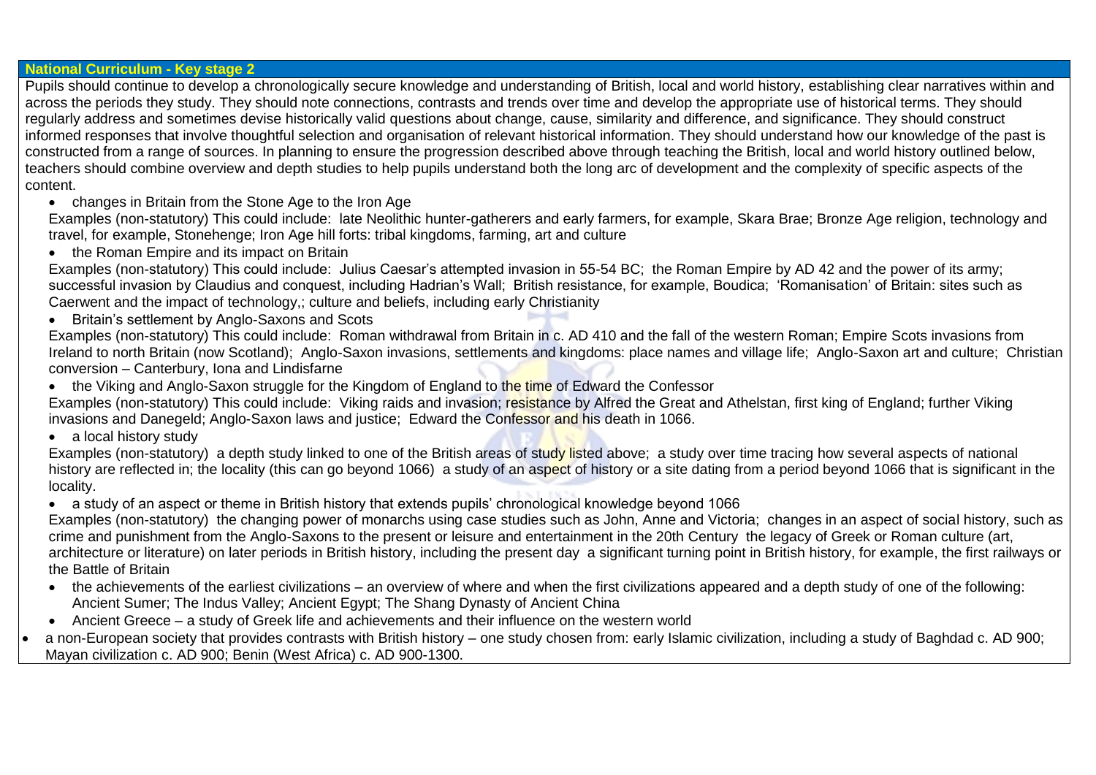## **National Curriculum - Key stage 2**

Pupils should continue to develop a chronologically secure knowledge and understanding of British, local and world history, establishing clear narratives within and across the periods they study. They should note connections, contrasts and trends over time and develop the appropriate use of historical terms. They should regularly address and sometimes devise historically valid questions about change, cause, similarity and difference, and significance. They should construct informed responses that involve thoughtful selection and organisation of relevant historical information. They should understand how our knowledge of the past is constructed from a range of sources. In planning to ensure the progression described above through teaching the British, local and world history outlined below, teachers should combine overview and depth studies to help pupils understand both the long arc of development and the complexity of specific aspects of the content.

changes in Britain from the Stone Age to the Iron Age

Examples (non-statutory) This could include: late Neolithic hunter-gatherers and early farmers, for example, Skara Brae; Bronze Age religion, technology and travel, for example, Stonehenge; Iron Age hill forts: tribal kingdoms, farming, art and culture

• the Roman Empire and its impact on Britain

Examples (non-statutory) This could include: Julius Caesar's attempted invasion in 55-54 BC; the Roman Empire by AD 42 and the power of its army; successful invasion by Claudius and conquest, including Hadrian's Wall; British resistance, for example, Boudica; 'Romanisation' of Britain: sites such as Caerwent and the impact of technology,; culture and beliefs, including early Christianity

Britain's settlement by Anglo-Saxons and Scots

Examples (non-statutory) This could include: Roman withdrawal from Britain in c. AD 410 and the fall of the western Roman; Empire Scots invasions from Ireland to north Britain (now Scotland); Anglo-Saxon invasions, settlements and kingdoms: place names and village life; Anglo-Saxon art and culture; Christian conversion – Canterbury, Iona and Lindisfarne

• the Viking and Anglo-Saxon struggle for the Kingdom of England to the time of Edward the Confessor

Examples (non-statutory) This could include: Viking raids and invasion; resistance by Alfred the Great and Athelstan, first king of England; further Viking invasions and Danegeld; Anglo-Saxon laws and justice; Edward the Confessor and his death in 1066.

• a local history study

Examples (non-statutory) a depth study linked to one of the British areas of study listed above; a study over time tracing how several aspects of national history are reflected in; the locality (this can go beyond 1066) a study of an aspect of history or a site dating from a period beyond 1066 that is significant in the locality.

a study of an aspect or theme in British history that extends pupils' chronological knowledge beyond 1066

Examples (non-statutory) the changing power of monarchs using case studies such as John, Anne and Victoria; changes in an aspect of social history, such as crime and punishment from the Anglo-Saxons to the present or leisure and entertainment in the 20th Century the legacy of Greek or Roman culture (art, architecture or literature) on later periods in British history, including the present day a significant turning point in British history, for example, the first railways or the Battle of Britain

- the achievements of the earliest civilizations an overview of where and when the first civilizations appeared and a depth study of one of the following: Ancient Sumer; The Indus Valley; Ancient Egypt; The Shang Dynasty of Ancient China
- Ancient Greece a study of Greek life and achievements and their influence on the western world
- a non-European society that provides contrasts with British history one study chosen from: early Islamic civilization, including a study of Baghdad c. AD 900; Mayan civilization c. AD 900; Benin (West Africa) c. AD 900-1300.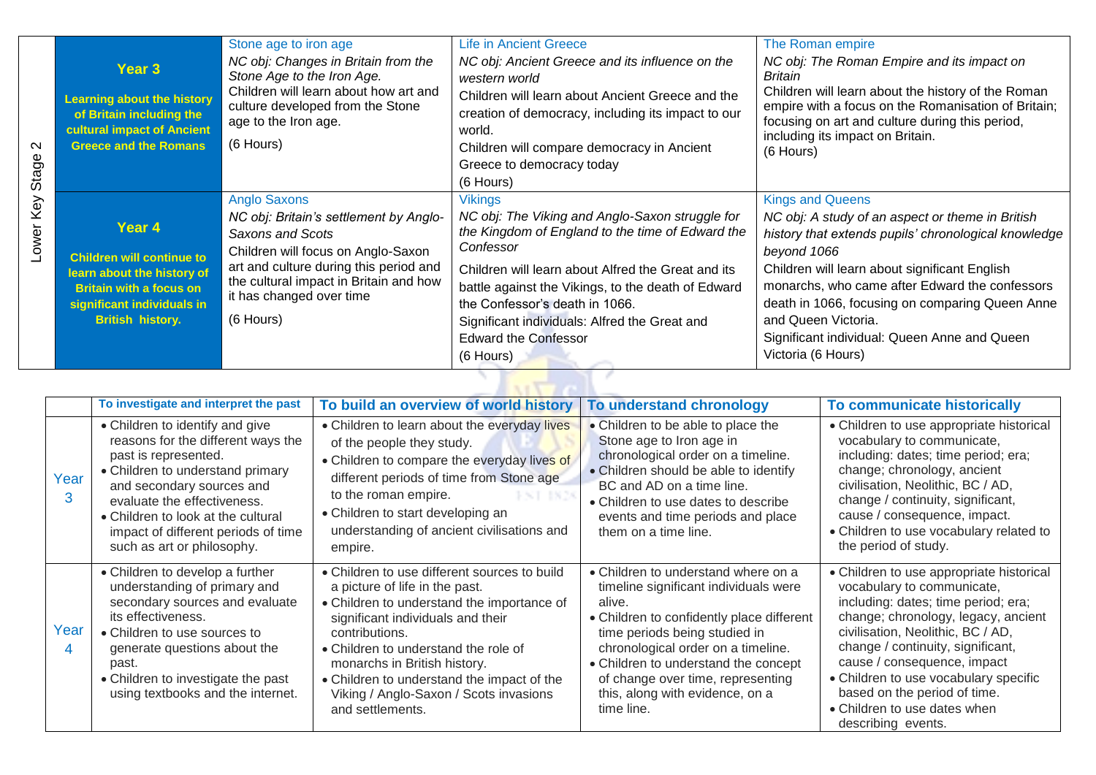|       |                                   | Stone age to iron age                                    | <b>Life in Ancient Greece</b>                      | The Roman empire                                                                                       |
|-------|-----------------------------------|----------------------------------------------------------|----------------------------------------------------|--------------------------------------------------------------------------------------------------------|
|       | Year 3                            | NC obj: Changes in Britain from the                      | NC obj: Ancient Greece and its influence on the    | NC obj: The Roman Empire and its impact on                                                             |
|       |                                   | Stone Age to the Iron Age.                               | western world                                      | Britain                                                                                                |
|       | <b>Learning about the history</b> | Children will learn about how art and                    | Children will learn about Ancient Greece and the   | Children will learn about the history of the Roman                                                     |
|       | of Britain including the          | culture developed from the Stone<br>age to the Iron age. | creation of democracy, including its impact to our | empire with a focus on the Romanisation of Britain;<br>focusing on art and culture during this period, |
|       | cultural impact of Ancient        |                                                          | world.                                             | including its impact on Britain.                                                                       |
| Z     | <b>Greece and the Romans</b>      | (6 Hours)                                                | Children will compare democracy in Ancient         | (6 Hours)                                                                                              |
|       |                                   |                                                          | Greece to democracy today                          |                                                                                                        |
| Stage |                                   |                                                          | (6 Hours)                                          |                                                                                                        |
| Key   |                                   | <b>Anglo Saxons</b>                                      | <b>Vikings</b>                                     | <b>Kings and Queens</b>                                                                                |
|       |                                   | NC obj: Britain's settlement by Anglo-                   | NC obj: The Viking and Anglo-Saxon struggle for    | NC obj: A study of an aspect or theme in British                                                       |
| Lower | Year 4                            | Saxons and Scots                                         | the Kingdom of England to the time of Edward the   | history that extends pupils' chronological knowledge                                                   |
|       | <b>Children will continue to</b>  | Children will focus on Anglo-Saxon                       | Confessor                                          | beyond 1066                                                                                            |
|       | learn about the history of        | art and culture during this period and                   | Children will learn about Alfred the Great and its | Children will learn about significant English                                                          |
|       | <b>Britain with a focus on</b>    | the cultural impact in Britain and how                   | battle against the Vikings, to the death of Edward | monarchs, who came after Edward the confessors                                                         |
|       | significant individuals in        | it has changed over time                                 | the Confessor's death in 1066.                     | death in 1066, focusing on comparing Queen Anne                                                        |
|       | <b>British history.</b>           | (6 Hours)                                                | Significant individuals: Alfred the Great and      | and Queen Victoria.                                                                                    |
|       |                                   |                                                          | <b>Edward the Confessor</b>                        | Significant individual: Queen Anne and Queen                                                           |
|       |                                   |                                                          | (6 Hours)                                          | Victoria (6 Hours)                                                                                     |
|       |                                   |                                                          |                                                    |                                                                                                        |

**Contract of the American** 

٦.

|           | To investigate and interpret the past                                                                                                                                                                                                                                                                    | To build an overview of world history                                                                                                                                                                                                                                                                                                                                   | <b>To understand chronology</b>                                                                                                                                                                                                                                                                                                          | To communicate historically                                                                                                                                                                                                                                                                                                                                                                  |
|-----------|----------------------------------------------------------------------------------------------------------------------------------------------------------------------------------------------------------------------------------------------------------------------------------------------------------|-------------------------------------------------------------------------------------------------------------------------------------------------------------------------------------------------------------------------------------------------------------------------------------------------------------------------------------------------------------------------|------------------------------------------------------------------------------------------------------------------------------------------------------------------------------------------------------------------------------------------------------------------------------------------------------------------------------------------|----------------------------------------------------------------------------------------------------------------------------------------------------------------------------------------------------------------------------------------------------------------------------------------------------------------------------------------------------------------------------------------------|
| Year<br>3 | • Children to identify and give<br>reasons for the different ways the<br>past is represented.<br>• Children to understand primary<br>and secondary sources and<br>evaluate the effectiveness.<br>• Children to look at the cultural<br>impact of different periods of time<br>such as art or philosophy. | • Children to learn about the everyday lives<br>of the people they study.<br>• Children to compare the everyday lives of<br>different periods of time from Stone age<br>to the roman empire.<br><b>JAN 1828</b><br>• Children to start developing an<br>understanding of ancient civilisations and<br>empire.                                                           | • Children to be able to place the<br>Stone age to Iron age in<br>chronological order on a timeline.<br>• Children should be able to identify<br>BC and AD on a time line.<br>• Children to use dates to describe<br>events and time periods and place<br>them on a time line.                                                           | • Children to use appropriate historical<br>vocabulary to communicate,<br>including: dates; time period; era;<br>change; chronology, ancient<br>civilisation, Neolithic, BC / AD,<br>change / continuity, significant,<br>cause / consequence, impact.<br>• Children to use vocabulary related to<br>the period of study.                                                                    |
| Year      | • Children to develop a further<br>understanding of primary and<br>secondary sources and evaluate<br>its effectiveness.<br>• Children to use sources to<br>generate questions about the<br>past.<br>• Children to investigate the past<br>using textbooks and the internet.                              | • Children to use different sources to build<br>a picture of life in the past.<br>• Children to understand the importance of<br>significant individuals and their<br>contributions.<br>• Children to understand the role of<br>monarchs in British history.<br>• Children to understand the impact of the<br>Viking / Anglo-Saxon / Scots invasions<br>and settlements. | • Children to understand where on a<br>timeline significant individuals were<br>alive.<br>• Children to confidently place different<br>time periods being studied in<br>chronological order on a timeline.<br>• Children to understand the concept<br>of change over time, representing<br>this, along with evidence, on a<br>time line. | • Children to use appropriate historical<br>vocabulary to communicate,<br>including: dates; time period; era;<br>change; chronology, legacy, ancient<br>civilisation, Neolithic, BC / AD,<br>change / continuity, significant,<br>cause / consequence, impact<br>• Children to use vocabulary specific<br>based on the period of time.<br>• Children to use dates when<br>describing events. |

d.